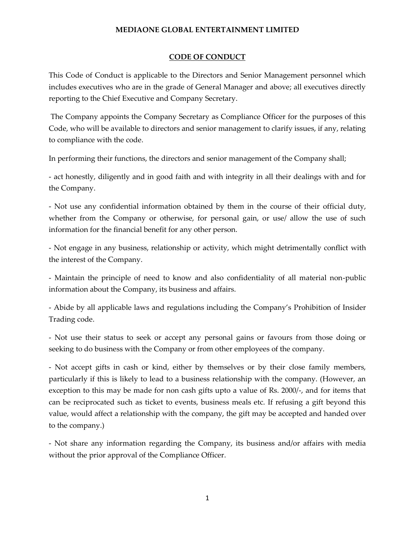## **MEDIAONE GLOBAL ENTERTAINMENT LIMITED**

## **CODE OF CONDUCT**

This Code of Conduct is applicable to the Directors and Senior Management personnel which includes executives who are in the grade of General Manager and above; all executives directly reporting to the Chief Executive and Company Secretary.

The Company appoints the Company Secretary as Compliance Officer for the purposes of this Code, who will be available to directors and senior management to clarify issues, if any, relating to compliance with the code.

In performing their functions, the directors and senior management of the Company shall;

- act honestly, diligently and in good faith and with integrity in all their dealings with and for the Company.

- Not use any confidential information obtained by them in the course of their official duty, whether from the Company or otherwise, for personal gain, or use/ allow the use of such information for the financial benefit for any other person.

- Not engage in any business, relationship or activity, which might detrimentally conflict with the interest of the Company.

- Maintain the principle of need to know and also confidentiality of all material non-public information about the Company, its business and affairs.

- Abide by all applicable laws and regulations including the Company's Prohibition of Insider Trading code.

- Not use their status to seek or accept any personal gains or favours from those doing or seeking to do business with the Company or from other employees of the company.

- Not accept gifts in cash or kind, either by themselves or by their close family members, particularly if this is likely to lead to a business relationship with the company. (However, an exception to this may be made for non cash gifts upto a value of Rs. 2000/-, and for items that can be reciprocated such as ticket to events, business meals etc. If refusing a gift beyond this value, would affect a relationship with the company, the gift may be accepted and handed over to the company.)

- Not share any information regarding the Company, its business and/or affairs with media without the prior approval of the Compliance Officer.